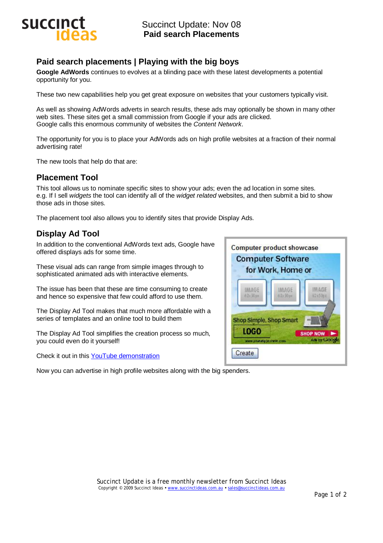

# **Paid search placements | Playing with the big boys**

**Google AdWords** continues to evolves at a blinding pace with these latest developments a potential opportunity for you.

These two new capabilities help you get great exposure on websites that your customers typically visit.

As well as showing AdWords adverts in search results, these ads may optionally be shown in many other web sites. These sites get a small commission from Google if your ads are clicked. Google calls this enormous community of websites the *Content Network*.

The opportunity for you is to place your AdWords ads on high profile websites at a fraction of their normal advertising rate!

The new tools that help do that are:

## **Placement Tool**

This tool allows us to nominate specific sites to show your ads; even the ad location in some sites. e.g. If I sell *widgets* the tool can identify all of the *widget related* websites, and then submit a bid to show those ads in those sites.

The placement tool also allows you to identify sites that provide Display Ads.

# **Display Ad Tool**

In addition to the conventional AdWords text ads, Google have offered displays ads for some time.

These visual ads can range from simple images through to sophisticated animated ads with interactive elements.

The issue has been that these are time consuming to create and hence so expensive that few could afford to use them.

The Display Ad Tool makes that much more affordable with a series of templates and an online tool to build them

The Display Ad Tool simplifies the creation process so much, you could even do it yourself!

Check it out in this YouTube demonstration

Now you can advertise in high profile websites along with the big spenders.